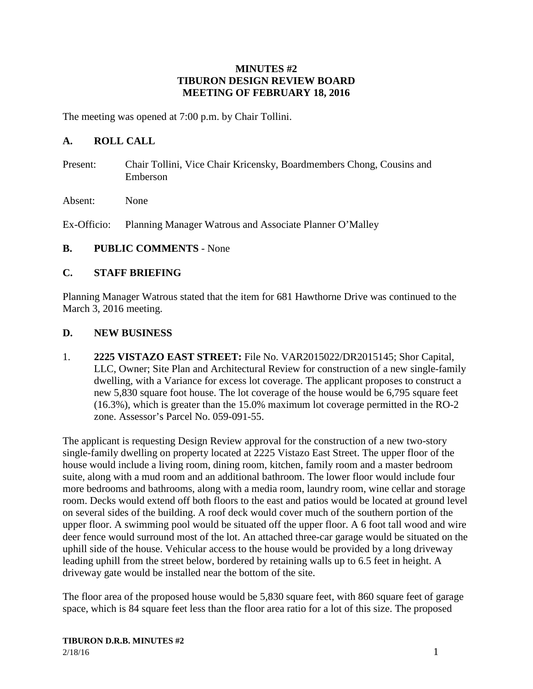### **MINUTES #2 TIBURON DESIGN REVIEW BOARD MEETING OF FEBRUARY 18, 2016**

The meeting was opened at 7:00 p.m. by Chair Tollini.

## **A. ROLL CALL**

- Present: Chair Tollini, Vice Chair Kricensky, Boardmembers Chong, Cousins and Emberson
- Absent: None

Ex-Officio: Planning Manager Watrous and Associate Planner O'Malley

### **B. PUBLIC COMMENTS** - None

### **C. STAFF BRIEFING**

Planning Manager Watrous stated that the item for 681 Hawthorne Drive was continued to the March 3, 2016 meeting.

### **D. NEW BUSINESS**

1. **2225 VISTAZO EAST STREET:** File No. VAR2015022/DR2015145; Shor Capital, LLC, Owner; Site Plan and Architectural Review for construction of a new single-family dwelling, with a Variance for excess lot coverage. The applicant proposes to construct a new 5,830 square foot house. The lot coverage of the house would be 6,795 square feet (16.3%), which is greater than the 15.0% maximum lot coverage permitted in the RO-2 zone. Assessor's Parcel No. 059-091-55.

The applicant is requesting Design Review approval for the construction of a new two-story single-family dwelling on property located at 2225 Vistazo East Street. The upper floor of the house would include a living room, dining room, kitchen, family room and a master bedroom suite, along with a mud room and an additional bathroom. The lower floor would include four more bedrooms and bathrooms, along with a media room, laundry room, wine cellar and storage room. Decks would extend off both floors to the east and patios would be located at ground level on several sides of the building. A roof deck would cover much of the southern portion of the upper floor. A swimming pool would be situated off the upper floor. A 6 foot tall wood and wire deer fence would surround most of the lot. An attached three-car garage would be situated on the uphill side of the house. Vehicular access to the house would be provided by a long driveway leading uphill from the street below, bordered by retaining walls up to 6.5 feet in height. A driveway gate would be installed near the bottom of the site.

The floor area of the proposed house would be 5,830 square feet, with 860 square feet of garage space, which is 84 square feet less than the floor area ratio for a lot of this size. The proposed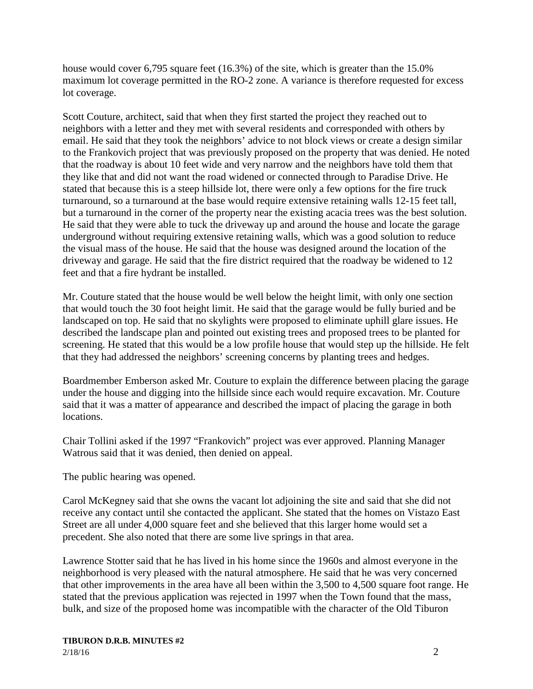house would cover 6,795 square feet (16.3%) of the site, which is greater than the 15.0% maximum lot coverage permitted in the RO-2 zone. A variance is therefore requested for excess lot coverage.

Scott Couture, architect, said that when they first started the project they reached out to neighbors with a letter and they met with several residents and corresponded with others by email. He said that they took the neighbors' advice to not block views or create a design similar to the Frankovich project that was previously proposed on the property that was denied. He noted that the roadway is about 10 feet wide and very narrow and the neighbors have told them that they like that and did not want the road widened or connected through to Paradise Drive. He stated that because this is a steep hillside lot, there were only a few options for the fire truck turnaround, so a turnaround at the base would require extensive retaining walls 12-15 feet tall, but a turnaround in the corner of the property near the existing acacia trees was the best solution. He said that they were able to tuck the driveway up and around the house and locate the garage underground without requiring extensive retaining walls, which was a good solution to reduce the visual mass of the house. He said that the house was designed around the location of the driveway and garage. He said that the fire district required that the roadway be widened to 12 feet and that a fire hydrant be installed.

Mr. Couture stated that the house would be well below the height limit, with only one section that would touch the 30 foot height limit. He said that the garage would be fully buried and be landscaped on top. He said that no skylights were proposed to eliminate uphill glare issues. He described the landscape plan and pointed out existing trees and proposed trees to be planted for screening. He stated that this would be a low profile house that would step up the hillside. He felt that they had addressed the neighbors' screening concerns by planting trees and hedges.

Boardmember Emberson asked Mr. Couture to explain the difference between placing the garage under the house and digging into the hillside since each would require excavation. Mr. Couture said that it was a matter of appearance and described the impact of placing the garage in both locations.

Chair Tollini asked if the 1997 "Frankovich" project was ever approved. Planning Manager Watrous said that it was denied, then denied on appeal.

The public hearing was opened.

Carol McKegney said that she owns the vacant lot adjoining the site and said that she did not receive any contact until she contacted the applicant. She stated that the homes on Vistazo East Street are all under 4,000 square feet and she believed that this larger home would set a precedent. She also noted that there are some live springs in that area.

Lawrence Stotter said that he has lived in his home since the 1960s and almost everyone in the neighborhood is very pleased with the natural atmosphere. He said that he was very concerned that other improvements in the area have all been within the 3,500 to 4,500 square foot range. He stated that the previous application was rejected in 1997 when the Town found that the mass, bulk, and size of the proposed home was incompatible with the character of the Old Tiburon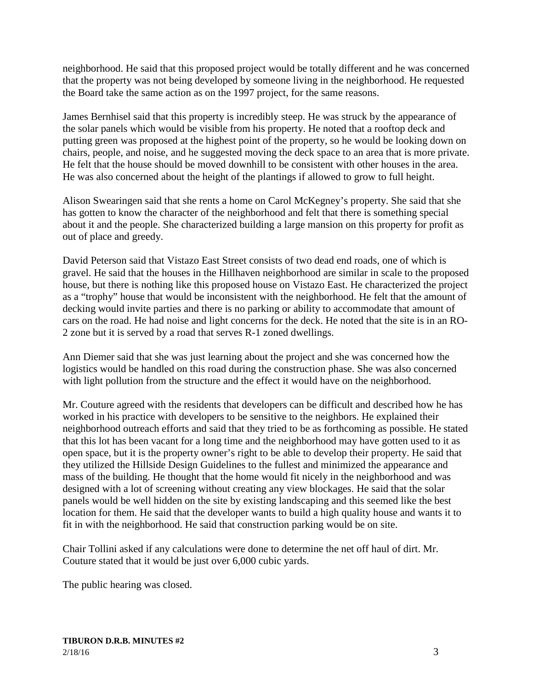neighborhood. He said that this proposed project would be totally different and he was concerned that the property was not being developed by someone living in the neighborhood. He requested the Board take the same action as on the 1997 project, for the same reasons.

James Bernhisel said that this property is incredibly steep. He was struck by the appearance of the solar panels which would be visible from his property. He noted that a rooftop deck and putting green was proposed at the highest point of the property, so he would be looking down on chairs, people, and noise, and he suggested moving the deck space to an area that is more private. He felt that the house should be moved downhill to be consistent with other houses in the area. He was also concerned about the height of the plantings if allowed to grow to full height.

Alison Swearingen said that she rents a home on Carol McKegney's property. She said that she has gotten to know the character of the neighborhood and felt that there is something special about it and the people. She characterized building a large mansion on this property for profit as out of place and greedy.

David Peterson said that Vistazo East Street consists of two dead end roads, one of which is gravel. He said that the houses in the Hillhaven neighborhood are similar in scale to the proposed house, but there is nothing like this proposed house on Vistazo East. He characterized the project as a "trophy" house that would be inconsistent with the neighborhood. He felt that the amount of decking would invite parties and there is no parking or ability to accommodate that amount of cars on the road. He had noise and light concerns for the deck. He noted that the site is in an RO-2 zone but it is served by a road that serves R-1 zoned dwellings.

Ann Diemer said that she was just learning about the project and she was concerned how the logistics would be handled on this road during the construction phase. She was also concerned with light pollution from the structure and the effect it would have on the neighborhood.

Mr. Couture agreed with the residents that developers can be difficult and described how he has worked in his practice with developers to be sensitive to the neighbors. He explained their neighborhood outreach efforts and said that they tried to be as forthcoming as possible. He stated that this lot has been vacant for a long time and the neighborhood may have gotten used to it as open space, but it is the property owner's right to be able to develop their property. He said that they utilized the Hillside Design Guidelines to the fullest and minimized the appearance and mass of the building. He thought that the home would fit nicely in the neighborhood and was designed with a lot of screening without creating any view blockages. He said that the solar panels would be well hidden on the site by existing landscaping and this seemed like the best location for them. He said that the developer wants to build a high quality house and wants it to fit in with the neighborhood. He said that construction parking would be on site.

Chair Tollini asked if any calculations were done to determine the net off haul of dirt. Mr. Couture stated that it would be just over 6,000 cubic yards.

The public hearing was closed.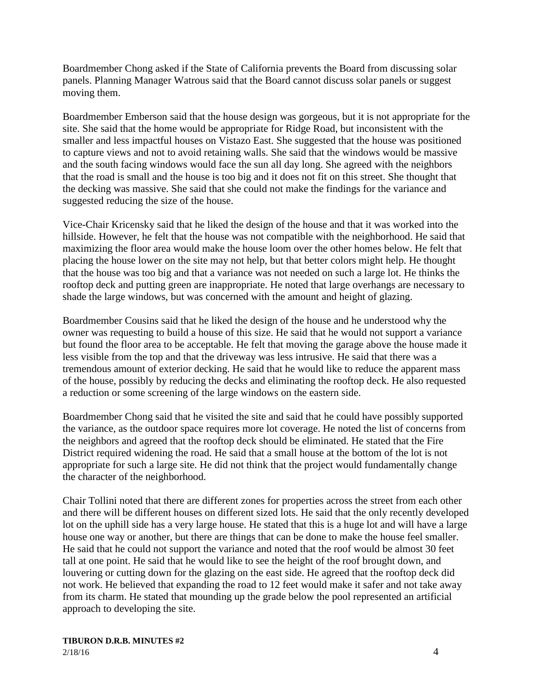Boardmember Chong asked if the State of California prevents the Board from discussing solar panels. Planning Manager Watrous said that the Board cannot discuss solar panels or suggest moving them.

Boardmember Emberson said that the house design was gorgeous, but it is not appropriate for the site. She said that the home would be appropriate for Ridge Road, but inconsistent with the smaller and less impactful houses on Vistazo East. She suggested that the house was positioned to capture views and not to avoid retaining walls. She said that the windows would be massive and the south facing windows would face the sun all day long. She agreed with the neighbors that the road is small and the house is too big and it does not fit on this street. She thought that the decking was massive. She said that she could not make the findings for the variance and suggested reducing the size of the house.

Vice-Chair Kricensky said that he liked the design of the house and that it was worked into the hillside. However, he felt that the house was not compatible with the neighborhood. He said that maximizing the floor area would make the house loom over the other homes below. He felt that placing the house lower on the site may not help, but that better colors might help. He thought that the house was too big and that a variance was not needed on such a large lot. He thinks the rooftop deck and putting green are inappropriate. He noted that large overhangs are necessary to shade the large windows, but was concerned with the amount and height of glazing.

Boardmember Cousins said that he liked the design of the house and he understood why the owner was requesting to build a house of this size. He said that he would not support a variance but found the floor area to be acceptable. He felt that moving the garage above the house made it less visible from the top and that the driveway was less intrusive. He said that there was a tremendous amount of exterior decking. He said that he would like to reduce the apparent mass of the house, possibly by reducing the decks and eliminating the rooftop deck. He also requested a reduction or some screening of the large windows on the eastern side.

Boardmember Chong said that he visited the site and said that he could have possibly supported the variance, as the outdoor space requires more lot coverage. He noted the list of concerns from the neighbors and agreed that the rooftop deck should be eliminated. He stated that the Fire District required widening the road. He said that a small house at the bottom of the lot is not appropriate for such a large site. He did not think that the project would fundamentally change the character of the neighborhood.

Chair Tollini noted that there are different zones for properties across the street from each other and there will be different houses on different sized lots. He said that the only recently developed lot on the uphill side has a very large house. He stated that this is a huge lot and will have a large house one way or another, but there are things that can be done to make the house feel smaller. He said that he could not support the variance and noted that the roof would be almost 30 feet tall at one point. He said that he would like to see the height of the roof brought down, and louvering or cutting down for the glazing on the east side. He agreed that the rooftop deck did not work. He believed that expanding the road to 12 feet would make it safer and not take away from its charm. He stated that mounding up the grade below the pool represented an artificial approach to developing the site.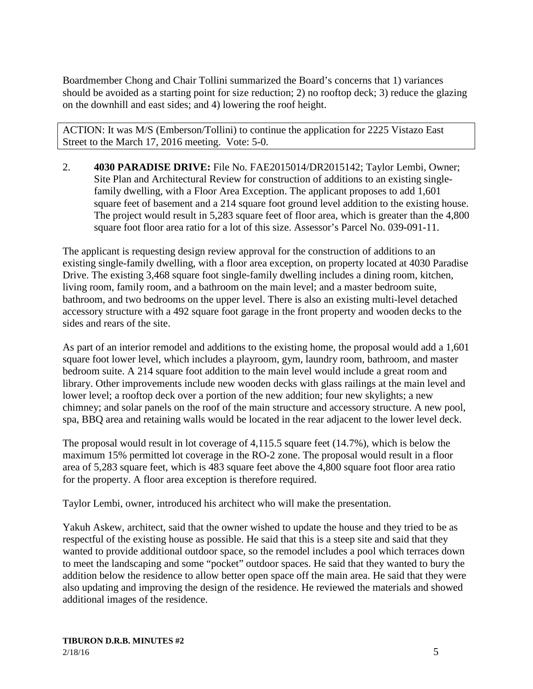Boardmember Chong and Chair Tollini summarized the Board's concerns that 1) variances should be avoided as a starting point for size reduction; 2) no rooftop deck; 3) reduce the glazing on the downhill and east sides; and 4) lowering the roof height.

ACTION: It was M/S (Emberson/Tollini) to continue the application for 2225 Vistazo East Street to the March 17, 2016 meeting. Vote: 5-0.

2. **4030 PARADISE DRIVE:** File No. FAE2015014/DR2015142; Taylor Lembi, Owner; Site Plan and Architectural Review for construction of additions to an existing singlefamily dwelling, with a Floor Area Exception. The applicant proposes to add 1,601 square feet of basement and a 214 square foot ground level addition to the existing house. The project would result in 5,283 square feet of floor area, which is greater than the 4,800 square foot floor area ratio for a lot of this size. Assessor's Parcel No. 039-091-11.

The applicant is requesting design review approval for the construction of additions to an existing single-family dwelling, with a floor area exception, on property located at 4030 Paradise Drive. The existing 3,468 square foot single-family dwelling includes a dining room, kitchen, living room, family room, and a bathroom on the main level; and a master bedroom suite, bathroom, and two bedrooms on the upper level. There is also an existing multi-level detached accessory structure with a 492 square foot garage in the front property and wooden decks to the sides and rears of the site.

As part of an interior remodel and additions to the existing home, the proposal would add a 1,601 square foot lower level, which includes a playroom, gym, laundry room, bathroom, and master bedroom suite. A 214 square foot addition to the main level would include a great room and library. Other improvements include new wooden decks with glass railings at the main level and lower level; a rooftop deck over a portion of the new addition; four new skylights; a new chimney; and solar panels on the roof of the main structure and accessory structure. A new pool, spa, BBQ area and retaining walls would be located in the rear adjacent to the lower level deck.

The proposal would result in lot coverage of 4,115.5 square feet (14.7%), which is below the maximum 15% permitted lot coverage in the RO-2 zone. The proposal would result in a floor area of 5,283 square feet, which is 483 square feet above the 4,800 square foot floor area ratio for the property. A floor area exception is therefore required.

Taylor Lembi, owner, introduced his architect who will make the presentation.

Yakuh Askew, architect, said that the owner wished to update the house and they tried to be as respectful of the existing house as possible. He said that this is a steep site and said that they wanted to provide additional outdoor space, so the remodel includes a pool which terraces down to meet the landscaping and some "pocket" outdoor spaces. He said that they wanted to bury the addition below the residence to allow better open space off the main area. He said that they were also updating and improving the design of the residence. He reviewed the materials and showed additional images of the residence.